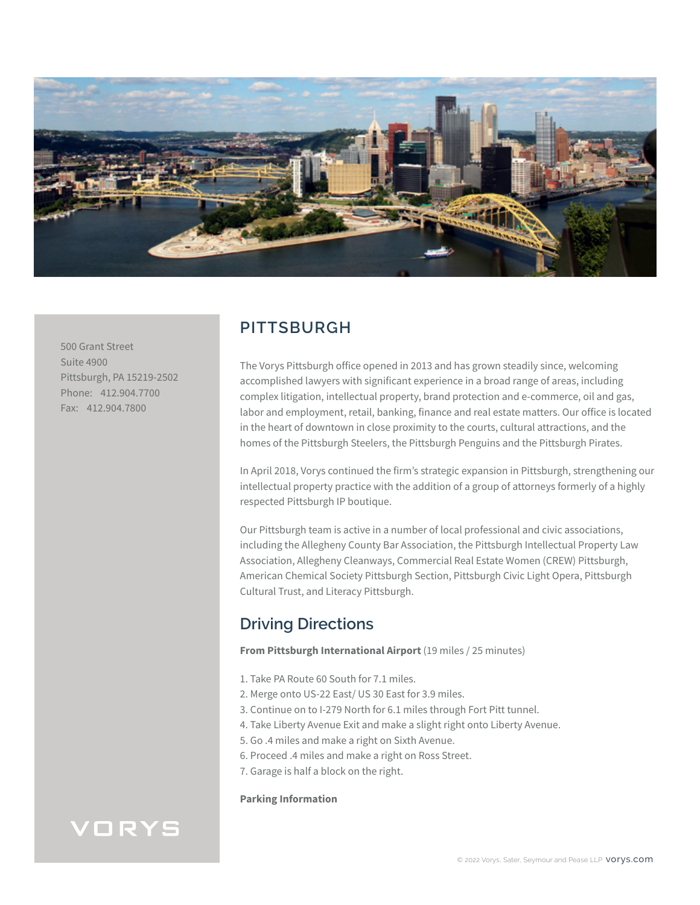

500 Grant Street Suite 4900 Pittsburgh, PA 15219-2502 Phone: 412.904.7700 Fax: 412.904.7800

## **PITTSBURGH**

The Vorys Pittsburgh office opened in 2013 and has grown steadily since, welcoming accomplished lawyers with significant experience in a broad range of areas, including complex litigation, intellectual property, brand protection and e-commerce, oil and gas, labor and employment, retail, banking, finance and real estate matters. Our office is located in the heart of downtown in close proximity to the courts, cultural attractions, and the homes of the Pittsburgh Steelers, the Pittsburgh Penguins and the Pittsburgh Pirates.

In April 2018, Vorys continued the firm's strategic expansion in Pittsburgh, strengthening our intellectual property practice with the addition of a group of attorneys formerly of a highly respected Pittsburgh IP boutique.

Our Pittsburgh team is active in a number of local professional and civic associations, including the Allegheny County Bar Association, the Pittsburgh Intellectual Property Law Association, Allegheny Cleanways, Commercial Real Estate Women (CREW) Pittsburgh, American Chemical Society Pittsburgh Section, Pittsburgh Civic Light Opera, Pittsburgh Cultural Trust, and Literacy Pittsburgh.

## **Driving Directions**

**From Pittsburgh International Airport** (19 miles / 25 minutes)

- 1. Take PA Route 60 South for 7.1 miles.
- 2. Merge onto US-22 East/ US 30 East for 3.9 miles.
- 3. Continue on to I-279 North for 6.1 miles through Fort Pitt tunnel.
- 4. Take Liberty Avenue Exit and make a slight right onto Liberty Avenue.
- 5. Go .4 miles and make a right on Sixth Avenue.
- 6. Proceed .4 miles and make a right on Ross Street.
- 7. Garage is half a block on the right.

#### **Parking Information**

# VORYS